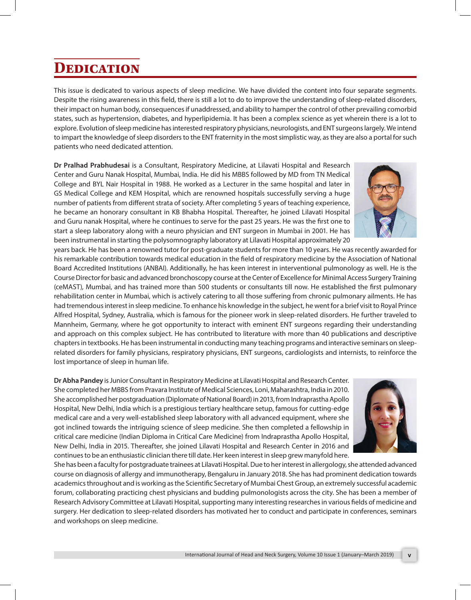## **Dedication**

This issue is dedicated to various aspects of sleep medicine. We have divided the content into four separate segments. Despite the rising awareness in this field, there is still a lot to do to improve the understanding of sleep-related disorders, their impact on human body, consequences if unaddressed, and ability to hamper the control of other prevailing comorbid states, such as hypertension, diabetes, and hyperlipidemia. It has been a complex science as yet wherein there is a lot to explore. Evolution of sleep medicine has interested respiratory physicians, neurologists, and ENT surgeons largely. We intend to impart the knowledge of sleep disorders to the ENT fraternity in the most simplistic way, as they are also a portal for such patients who need dedicated attention.

**Dr Pralhad Prabhudesai** is a Consultant, Respiratory Medicine, at Lilavati Hospital and Research Center and Guru Nanak Hospital, Mumbai, India. He did his MBBS followed by MD from TN Medical College and BYL Nair Hospital in 1988. He worked as a Lecturer in the same hospital and later in GS Medical College and KEM Hospital, which are renowned hospitals successfully serving a huge number of patients from different strata of society. After completing 5 years of teaching experience, he became an honorary consultant in KB Bhabha Hospital. Thereafter, he joined Lilavati Hospital and Guru nanak Hospital, where he continues to serve for the past 25 years. He was the first one to start a sleep laboratory along with a neuro physician and ENT surgeon in Mumbai in 2001. He has been instrumental in starting the polysomnography laboratory at Lilavati Hospital approximately 20

years back. He has been a renowned tutor for post-graduate students for more than 10 years. He was recently awarded for his remarkable contribution towards medical education in the field of respiratory medicine by the Association of National Board Accredited Institutions (ANBAI). Additionally, he has keen interest in interventional pulmonology as well. He is the Course Director for basic and advanced bronchoscopy course at the Center of Excellence for Minimal Access Surgery Training (ceMAST), Mumbai, and has trained more than 500 students or consultants till now. He established the first pulmonary rehabilitation center in Mumbai, which is actively catering to all those suffering from chronic pulmonary ailments. He has had tremendous interest in sleep medicine. To enhance his knowledge in the subject, he went for a brief visit to Royal Prince Alfred Hospital, Sydney, Australia, which is famous for the pioneer work in sleep-related disorders. He further traveled to Mannheim, Germany, where he got opportunity to interact with eminent ENT surgeons regarding their understanding and approach on this complex subject. He has contributed to literature with more than 40 publications and descriptive chapters in textbooks. He has been instrumental in conducting many teaching programs and interactive seminars on sleeprelated disorders for family physicians, respiratory physicians, ENT surgeons, cardiologists and internists, to reinforce the lost importance of sleep in human life.

**Dr Abha Pandey** is Junior Consultant in Respiratory Medicine at Lilavati Hospital and Research Center. She completed her MBBS from Pravara Institute of Medical Sciences, Loni, Maharashtra, India in 2010. She accomplished her postgraduation (Diplomate of National Board) in 2013, from Indraprastha Apollo Hospital, New Delhi, India which is a prestigious tertiary healthcare setup, famous for cutting-edge medical care and a very well-established sleep laboratory with all advanced equipment, where she got inclined towards the intriguing science of sleep medicine. She then completed a fellowship in critical care medicine (Indian Diploma in Critical Care Medicine) from Indraprastha Apollo Hospital, New Delhi, India in 2015. Thereafter, she joined Lilavati Hospital and Research Center in 2016 and continues to be an enthusiastic clinician there till date. Her keen interest in sleep grew manyfold here.

She has been a faculty for postgraduate trainees at Lilavati Hospital. Due to her interest in allergology, she attended advanced course on diagnosis of allergy and immunotherapy, Bengaluru in January 2018. She has had prominent dedication towards academics throughout and is working as the Scientific Secretary of Mumbai Chest Group, an extremely successful academic forum, collaborating practicing chest physicians and budding pulmonologists across the city. She has been a member of Research Advisory Committee at Lilavati Hospital, supporting many interesting researches in various fields of medicine and surgery. Her dedication to sleep-related disorders has motivated her to conduct and participate in conferences, seminars and workshops on sleep medicine.